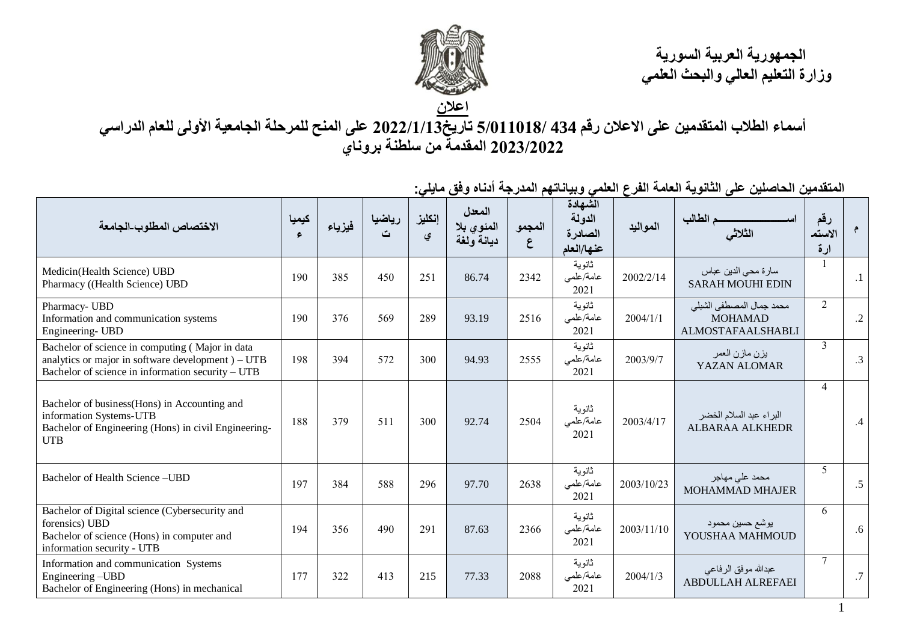

 **الجمهورية العربية السورية وزارة التعليم العالي والبحث العلمي**

1

**أسماء الطالب المتقدمين على االعالن رقم 434 5/011018/ تاريخ2022/1/13 على المنح للمرحلة الجامعية األولى للعام الدراسي 2023/2022 المقدمة من سلطنة بروناي**

| الاختصاص المطلوب الجامعة                                                                                                                                   | كيميا<br>$\epsilon$ | فيزياء | رياضيا<br>ٽ | إنكليز<br>ي | المعدل<br>المئوي بلا<br>ديانة ولغة | المجمو<br>ع | الشهادة<br>الدولة<br>الصادرة<br>عذها/العام | المواليد   | م الطالب<br>الثلاثي                                                    | رقم<br>الاستم<br>ارة |            |
|------------------------------------------------------------------------------------------------------------------------------------------------------------|---------------------|--------|-------------|-------------|------------------------------------|-------------|--------------------------------------------|------------|------------------------------------------------------------------------|----------------------|------------|
| Medicin(Health Science) UBD<br>Pharmacy ((Health Science) UBD                                                                                              | 190                 | 385    | 450         | 251         | 86.74                              | 2342        | ثانوية<br>عامة/علمى<br>2021                | 2002/2/14  | سارة محي الدين عباس<br><b>SARAH MOUHI EDIN</b>                         |                      | $\cdot$ 1  |
| Pharmacy- UBD<br>Information and communication systems<br>Engineering- UBD                                                                                 | 190                 | 376    | 569         | 289         | 93.19                              | 2516        | ثانوية<br>عامة/علمى<br>2021                | 2004/1/1   | محمد جمال المصطفى الشبلي<br><b>MOHAMAD</b><br><b>ALMOSTAFAALSHABLI</b> | $\overline{2}$       | $\cdot$ .2 |
| Bachelor of science in computing (Major in data<br>analytics or major in software development $)-UTB$<br>Bachelor of science in information security – UTB | 198                 | 394    | 572         | 300         | 94.93                              | 2555        | ثانوية<br>عامة/علمى<br>2021                | 2003/9/7   | يزن مازن العمر<br>YAZAN ALOMAR                                         | $\mathfrak{Z}$       | .3         |
| Bachelor of business(Hons) in Accounting and<br>information Systems-UTB<br>Bachelor of Engineering (Hons) in civil Engineering-<br><b>UTB</b>              | 188                 | 379    | 511         | 300         | 92.74                              | 2504        | ثانوية<br>عامة/علمي<br>2021                | 2003/4/17  | البراء عبد السلام الخضر<br><b>ALBARAA ALKHEDR</b>                      | $\overline{4}$       | .4         |
| Bachelor of Health Science-UBD                                                                                                                             | 197                 | 384    | 588         | 296         | 97.70                              | 2638        | ثانوية<br>عامة/علمى<br>2021                | 2003/10/23 | محمد على مهاجر<br><b>MOHAMMAD MHAJER</b>                               | 5                    | .5         |
| Bachelor of Digital science (Cybersecurity and<br>forensics) UBD<br>Bachelor of science (Hons) in computer and<br>information security - UTB               | 194                 | 356    | 490         | 291         | 87.63                              | 2366        | ثانوية<br>عامة/علمى<br>2021                | 2003/11/10 | يوشع حسين محمود<br>YOUSHAA MAHMOUD                                     | 6                    | .6         |
| Information and communication Systems<br>Engineering-UBD<br>Bachelor of Engineering (Hons) in mechanical                                                   | 177                 | 322    | 413         | 215         | 77.33                              | 2088        | ثانوية<br>عامة/علمى<br>2021                | 2004/1/3   | عبدالله موفق الرفاعي<br><b>ABDULLAH ALREFAEI</b>                       | $\tau$               | .7         |

**المتقدمين الحاصلين على الثانوية العامة الفرع العلمي وبياناتهم المدرجة أدناه وفق مايلي:**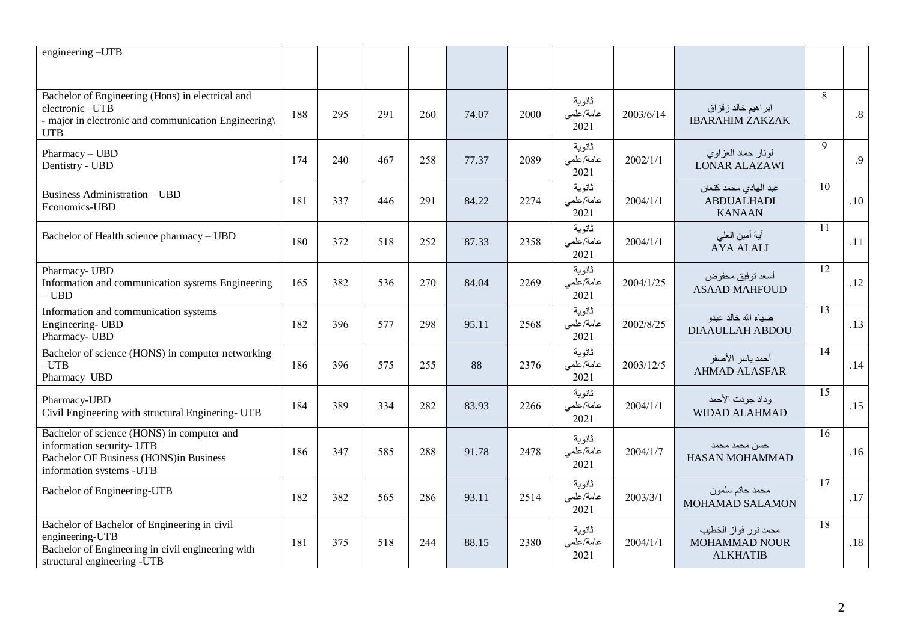| engineering-UTB                                                                                                                                      |     |     |     |     |       |      |                             |           |                                                             |                 |        |
|------------------------------------------------------------------------------------------------------------------------------------------------------|-----|-----|-----|-----|-------|------|-----------------------------|-----------|-------------------------------------------------------------|-----------------|--------|
| Bachelor of Engineering (Hons) in electrical and<br>electronic-UTB<br>- major in electronic and communication Engineering\<br><b>UTB</b>             | 188 | 295 | 291 | 260 | 74.07 | 2000 | ثانوية<br>عامة/علمى<br>2021 | 2003/6/14 | ابر اهیم خالد زقزاق<br><b>IBARAHIM ZAKZAK</b>               | 8               | $.8\,$ |
| Pharmacy - UBD<br>Dentistry - UBD                                                                                                                    | 174 | 240 | 467 | 258 | 77.37 | 2089 | ثانوية<br>عامة/علمى<br>2021 | 2002/1/1  | لمونار حماد العزاوي<br><b>LONAR ALAZAWI</b>                 | 9               | .9     |
| <b>Business Administration - UBD</b><br>Economics-UBD                                                                                                | 181 | 337 | 446 | 291 | 84.22 | 2274 | ثانوية<br>عامة/علمى<br>2021 | 2004/1/1  | عبد الهادي محمد كنعان<br><b>ABDUALHADI</b><br><b>KANAAN</b> | 10              | .10    |
| Bachelor of Health science pharmacy - UBD                                                                                                            | 180 | 372 | 518 | 252 | 87.33 | 2358 | ثانوية<br>عامة/علمى<br>2021 | 2004/1/1  | أية أمين العلمي<br><b>AYA ALALI</b>                         | 11              | .11    |
| Pharmacy- UBD<br>Information and communication systems Engineering<br>$-$ UBD $\,$                                                                   | 165 | 382 | 536 | 270 | 84.04 | 2269 | ثانوية<br>عامة/علمى<br>2021 | 2004/1/25 | أسعد توفيق محفوض<br><b>ASAAD MAHFOUD</b>                    | 12              | .12    |
| Information and communication systems<br>Engineering- UBD<br>Pharmacy- UBD                                                                           | 182 | 396 | 577 | 298 | 95.11 | 2568 | ثانوية<br>عامة/علمى<br>2021 | 2002/8/25 | ضبياء الله خالد عبدو<br><b>DIAAULLAH ABDOU</b>              | $\overline{13}$ | .13    |
| Bachelor of science (HONS) in computer networking<br>$-UTB$<br>Pharmacy UBD                                                                          | 186 | 396 | 575 | 255 | 88    | 2376 | ثانوية<br>عامة/علمى<br>2021 | 2003/12/5 | أحمد ياسر الأصفر<br><b>AHMAD ALASFAR</b>                    | $\overline{14}$ | .14    |
| Pharmacy-UBD<br>Civil Engineering with structural Enginering- UTB                                                                                    | 184 | 389 | 334 | 282 | 83.93 | 2266 | ثانوية<br>عامة/علمى<br>2021 | 2004/1/1  | وداد جودت الأحمد<br><b>WIDAD ALAHMAD</b>                    | $\overline{15}$ | .15    |
| Bachelor of science (HONS) in computer and<br>information security- UTB<br><b>Bachelor OF Business (HONS)in Business</b><br>information systems -UTB | 186 | 347 | 585 | 288 | 91.78 | 2478 | ثانوية<br>عامة/علمى<br>2021 | 2004/1/7  | حسن محمد محمد<br><b>HASAN MOHAMMAD</b>                      | 16              | .16    |
| Bachelor of Engineering-UTB                                                                                                                          | 182 | 382 | 565 | 286 | 93.11 | 2514 | ثانوية<br>عامة/علمى<br>2021 | 2003/3/1  | محمد حاتم سلمون<br>MOHAMAD SALAMON                          | $\overline{17}$ | .17    |
| Bachelor of Bachelor of Engineering in civil<br>engineering-UTB<br>Bachelor of Engineering in civil engineering with<br>structural engineering -UTB  | 181 | 375 | 518 | 244 | 88.15 | 2380 | ثانوية<br>عامة/علمى<br>2021 | 2004/1/1  | محمد نور فواز الخطيب<br>MOHAMMAD NOUR<br><b>ALKHATIB</b>    | $\overline{18}$ | .18    |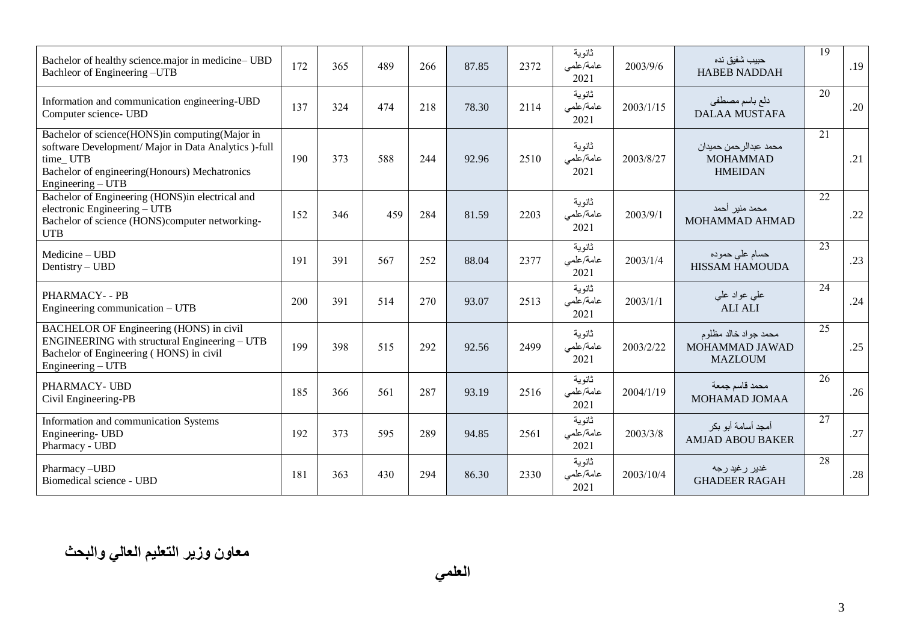| Bachelor of healthy science.major in medicine-UBD<br>Bachleor of Engineering -UTB                                                                                                          | 172 | 365 | 489 | 266 | 87.85 | 2372 | ثانوية<br>عامة/علمى<br>2021 | 2003/9/6  | حبيب شفيق نده<br><b>HABEB NADDAH</b>                        | 19 | .19 |
|--------------------------------------------------------------------------------------------------------------------------------------------------------------------------------------------|-----|-----|-----|-----|-------|------|-----------------------------|-----------|-------------------------------------------------------------|----|-----|
| Information and communication engineering-UBD<br>Computer science- UBD                                                                                                                     | 137 | 324 | 474 | 218 | 78.30 | 2114 | ثانوية<br>عامة/علمى<br>2021 | 2003/1/15 | دلع باسم مصطفى<br><b>DALAA MUSTAFA</b>                      | 20 | .20 |
| Bachelor of science(HONS)in computing(Major in<br>software Development/ Major in Data Analytics )-full<br>time_UTB<br>Bachelor of engineering(Honours) Mechatronics<br>Engineering $- UTB$ | 190 | 373 | 588 | 244 | 92.96 | 2510 | ثانوية<br>عامة/علمى<br>2021 | 2003/8/27 | محمد عبدالر حمن حميدان<br><b>MOHAMMAD</b><br><b>HMEIDAN</b> | 21 | .21 |
| Bachelor of Engineering (HONS) in electrical and<br>electronic Engineering – UTB<br>Bachelor of science (HONS)computer networking-<br><b>UTB</b>                                           | 152 | 346 | 459 | 284 | 81.59 | 2203 | ثانوية<br>عامة/علمى<br>2021 | 2003/9/1  | محمد منير أحمد<br>MOHAMMAD AHMAD                            | 22 | .22 |
| Medicine - UBD<br>Dentistry – UBD                                                                                                                                                          | 191 | 391 | 567 | 252 | 88.04 | 2377 | ثانوية<br>عامة/علمى<br>2021 | 2003/1/4  | حسام علي حموده<br><b>HISSAM HAMOUDA</b>                     | 23 | .23 |
| <b>PHARMACY- - PB</b><br>Engineering communication $- UTB$                                                                                                                                 | 200 | 391 | 514 | 270 | 93.07 | 2513 | ثانوية<br>عامة/علمى<br>2021 | 2003/1/1  | علمی عواد علمی<br><b>ALI ALI</b>                            | 24 | .24 |
| BACHELOR OF Engineering (HONS) in civil<br>ENGINEERING with structural Engineering – UTB<br>Bachelor of Engineering (HONS) in civil<br>Engineering $- UTB$                                 | 199 | 398 | 515 | 292 | 92.56 | 2499 | ثانوية<br>عامة/علمى<br>2021 | 2003/2/22 | محمد جواد خالد مظلوم<br>MOHAMMAD JAWAD<br><b>MAZLOUM</b>    | 25 | .25 |
| PHARMACY- UBD<br>Civil Engineering-PB                                                                                                                                                      | 185 | 366 | 561 | 287 | 93.19 | 2516 | ثانوية<br>عامة/علمى<br>2021 | 2004/1/19 | محمد قاسم جمعة<br>MOHAMAD JOMAA                             | 26 | .26 |
| Information and communication Systems<br>Engineering- UBD<br>Pharmacy - UBD                                                                                                                | 192 | 373 | 595 | 289 | 94.85 | 2561 | ثانوية<br>عامة/علمى<br>2021 | 2003/3/8  | أمجد أسامة أبو بكر<br><b>AMJAD ABOU BAKER</b>               | 27 | .27 |
| Pharmacy-UBD<br>Biomedical science - UBD                                                                                                                                                   | 181 | 363 | 430 | 294 | 86.30 | 2330 | ثانوية<br>عامة/علمى<br>2021 | 2003/10/4 | غدير رغيد رجه<br><b>GHADEER RAGAH</b>                       | 28 | .28 |

**العلمي**

 **معاون وزير التعليم العالي والبحث**